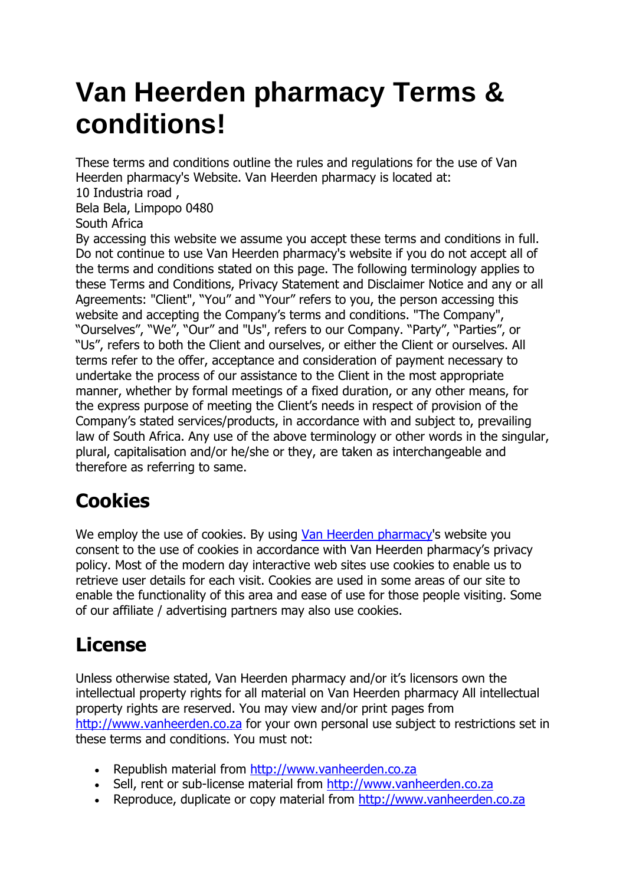# **Van Heerden pharmacy Terms & conditions!**

These terms and conditions outline the rules and regulations for the use of Van Heerden pharmacy's Website. Van Heerden pharmacy is located at:

10 Industria road , Bela Bela, Limpopo 0480

South Africa

By accessing this website we assume you accept these terms and conditions in full. Do not continue to use Van Heerden pharmacy's website if you do not accept all of the terms and conditions stated on this page. The following terminology applies to these Terms and Conditions, Privacy Statement and Disclaimer Notice and any or all Agreements: "Client", "You" and "Your" refers to you, the person accessing this website and accepting the Company's terms and conditions. "The Company", "Ourselves", "We", "Our" and "Us", refers to our Company. "Party", "Parties", or "Us", refers to both the Client and ourselves, or either the Client or ourselves. All terms refer to the offer, acceptance and consideration of payment necessary to undertake the process of our assistance to the Client in the most appropriate manner, whether by formal meetings of a fixed duration, or any other means, for the express purpose of meeting the Client's needs in respect of provision of the Company's stated services/products, in accordance with and subject to, prevailing law of South Africa. Any use of the above terminology or other words in the singular, plural, capitalisation and/or he/she or they, are taken as interchangeable and therefore as referring to same.

# **Cookies**

We employ the use of cookies. By using [Van Heerden pharmacy'](http://www.vanheerden.co.za/)s website you consent to the use of cookies in accordance with Van Heerden pharmacy's privacy policy. Most of the modern day interactive web sites use cookies to enable us to retrieve user details for each visit. Cookies are used in some areas of our site to enable the functionality of this area and ease of use for those people visiting. Some of our affiliate / advertising partners may also use cookies.

# **License**

Unless otherwise stated, Van Heerden pharmacy and/or it's licensors own the intellectual property rights for all material on Van Heerden pharmacy All intellectual property rights are reserved. You may view and/or print pages from [http://www.vanheerden.co.za](http://www.vanheerden.co.za/) for your own personal use subject to restrictions set in these terms and conditions. You must not:

- Republish material from [http://www.vanheerden.co.za](http://www.vanheerden.co.za/)
- Sell, rent or sub-license material from [http://www.vanheerden.co.za](http://www.vanheerden.co.za/)
- Reproduce, duplicate or copy material from [http://www.vanheerden.co.za](http://www.vanheerden.co.za/)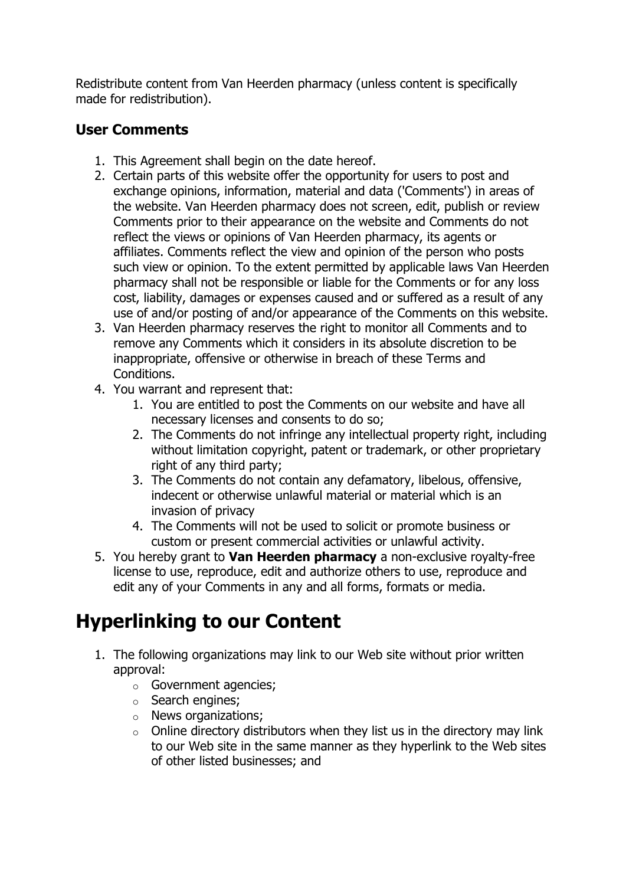Redistribute content from Van Heerden pharmacy (unless content is specifically made for redistribution).

#### **User Comments**

- 1. This Agreement shall begin on the date hereof.
- 2. Certain parts of this website offer the opportunity for users to post and exchange opinions, information, material and data ('Comments') in areas of the website. Van Heerden pharmacy does not screen, edit, publish or review Comments prior to their appearance on the website and Comments do not reflect the views or opinions of Van Heerden pharmacy, its agents or affiliates. Comments reflect the view and opinion of the person who posts such view or opinion. To the extent permitted by applicable laws Van Heerden pharmacy shall not be responsible or liable for the Comments or for any loss cost, liability, damages or expenses caused and or suffered as a result of any use of and/or posting of and/or appearance of the Comments on this website.
- 3. Van Heerden pharmacy reserves the right to monitor all Comments and to remove any Comments which it considers in its absolute discretion to be inappropriate, offensive or otherwise in breach of these Terms and Conditions.
- 4. You warrant and represent that:
	- 1. You are entitled to post the Comments on our website and have all necessary licenses and consents to do so;
	- 2. The Comments do not infringe any intellectual property right, including without limitation copyright, patent or trademark, or other proprietary right of any third party;
	- 3. The Comments do not contain any defamatory, libelous, offensive, indecent or otherwise unlawful material or material which is an invasion of privacy
	- 4. The Comments will not be used to solicit or promote business or custom or present commercial activities or unlawful activity.
- 5. You hereby grant to **Van Heerden pharmacy** a non-exclusive royalty-free license to use, reproduce, edit and authorize others to use, reproduce and edit any of your Comments in any and all forms, formats or media.

# **Hyperlinking to our Content**

- 1. The following organizations may link to our Web site without prior written approval:
	- o Government agencies;
	- o Search engines;
	- o News organizations;
	- $\circ$  Online directory distributors when they list us in the directory may link to our Web site in the same manner as they hyperlink to the Web sites of other listed businesses; and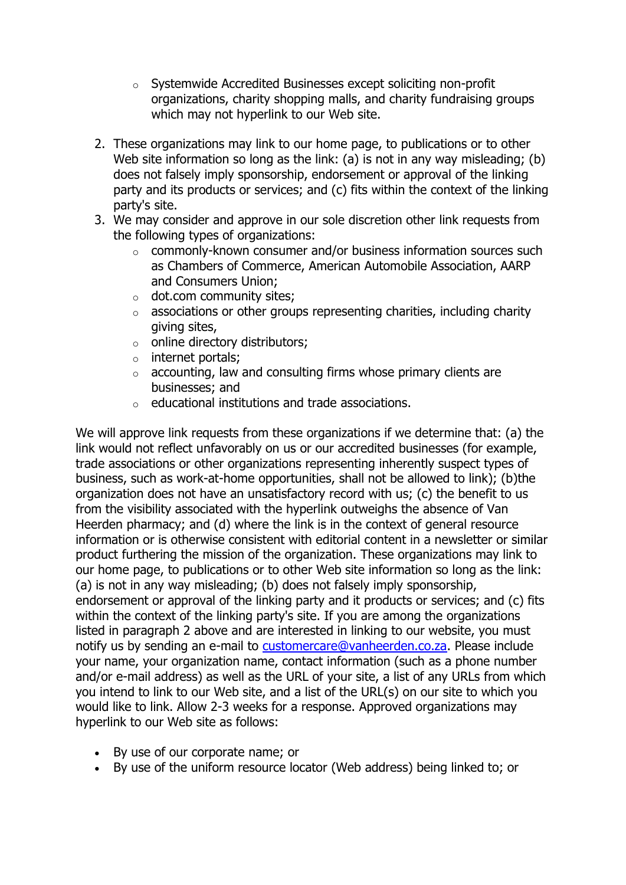- o Systemwide Accredited Businesses except soliciting non-profit organizations, charity shopping malls, and charity fundraising groups which may not hyperlink to our Web site.
- 2. These organizations may link to our home page, to publications or to other Web site information so long as the link: (a) is not in any way misleading; (b) does not falsely imply sponsorship, endorsement or approval of the linking party and its products or services; and (c) fits within the context of the linking party's site.
- 3. We may consider and approve in our sole discretion other link requests from the following types of organizations:
	- $\circ$  commonly-known consumer and/or business information sources such as Chambers of Commerce, American Automobile Association, AARP and Consumers Union;
	- o dot.com community sites;
	- $\circ$  associations or other groups representing charities, including charity giving sites,
	- o online directory distributors;
	- o internet portals;
	- $\circ$  accounting, law and consulting firms whose primary clients are businesses; and
	- o educational institutions and trade associations.

We will approve link requests from these organizations if we determine that: (a) the link would not reflect unfavorably on us or our accredited businesses (for example, trade associations or other organizations representing inherently suspect types of business, such as work-at-home opportunities, shall not be allowed to link); (b)the organization does not have an unsatisfactory record with us; (c) the benefit to us from the visibility associated with the hyperlink outweighs the absence of Van Heerden pharmacy; and (d) where the link is in the context of general resource information or is otherwise consistent with editorial content in a newsletter or similar product furthering the mission of the organization. These organizations may link to our home page, to publications or to other Web site information so long as the link: (a) is not in any way misleading; (b) does not falsely imply sponsorship, endorsement or approval of the linking party and it products or services; and (c) fits within the context of the linking party's site. If you are among the organizations listed in paragraph 2 above and are interested in linking to our website, you must notify us by sending an e-mail to [customercare@vanheerden.co.za.](mailto:customercare@vanheerden.co.za) Please include your name, your organization name, contact information (such as a phone number and/or e-mail address) as well as the URL of your site, a list of any URLs from which you intend to link to our Web site, and a list of the URL(s) on our site to which you would like to link. Allow 2-3 weeks for a response. Approved organizations may hyperlink to our Web site as follows:

- By use of our corporate name; or
- By use of the uniform resource locator (Web address) being linked to; or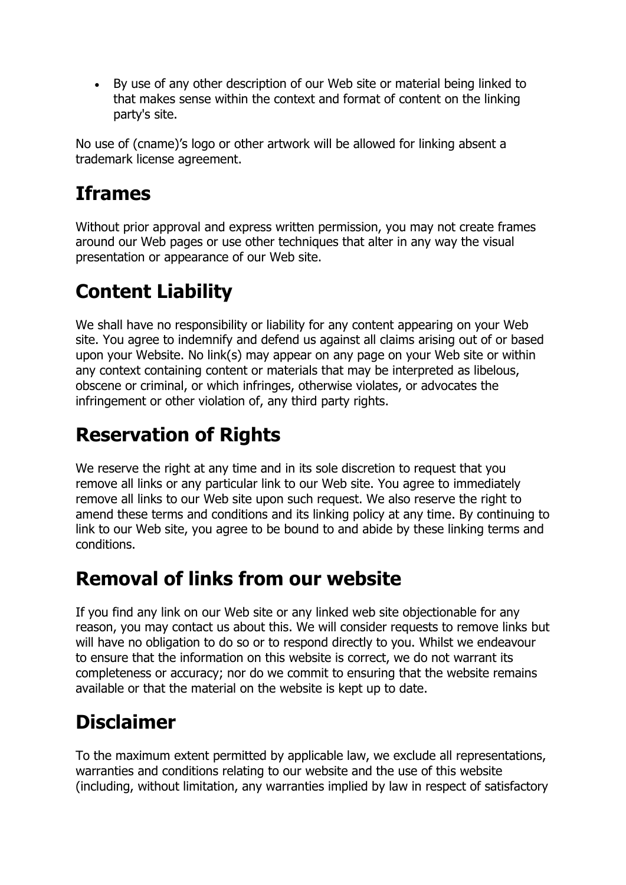By use of any other description of our Web site or material being linked to that makes sense within the context and format of content on the linking party's site.

No use of (cname)'s logo or other artwork will be allowed for linking absent a trademark license agreement.

#### **Iframes**

Without prior approval and express written permission, you may not create frames around our Web pages or use other techniques that alter in any way the visual presentation or appearance of our Web site.

# **Content Liability**

We shall have no responsibility or liability for any content appearing on your Web site. You agree to indemnify and defend us against all claims arising out of or based upon your Website. No link(s) may appear on any page on your Web site or within any context containing content or materials that may be interpreted as libelous, obscene or criminal, or which infringes, otherwise violates, or advocates the infringement or other violation of, any third party rights.

## **Reservation of Rights**

We reserve the right at any time and in its sole discretion to request that you remove all links or any particular link to our Web site. You agree to immediately remove all links to our Web site upon such request. We also reserve the right to amend these terms and conditions and its linking policy at any time. By continuing to link to our Web site, you agree to be bound to and abide by these linking terms and conditions.

#### **Removal of links from our website**

If you find any link on our Web site or any linked web site objectionable for any reason, you may contact us about this. We will consider requests to remove links but will have no obligation to do so or to respond directly to you. Whilst we endeavour to ensure that the information on this website is correct, we do not warrant its completeness or accuracy; nor do we commit to ensuring that the website remains available or that the material on the website is kept up to date.

# **Disclaimer**

To the maximum extent permitted by applicable law, we exclude all representations, warranties and conditions relating to our website and the use of this website (including, without limitation, any warranties implied by law in respect of satisfactory